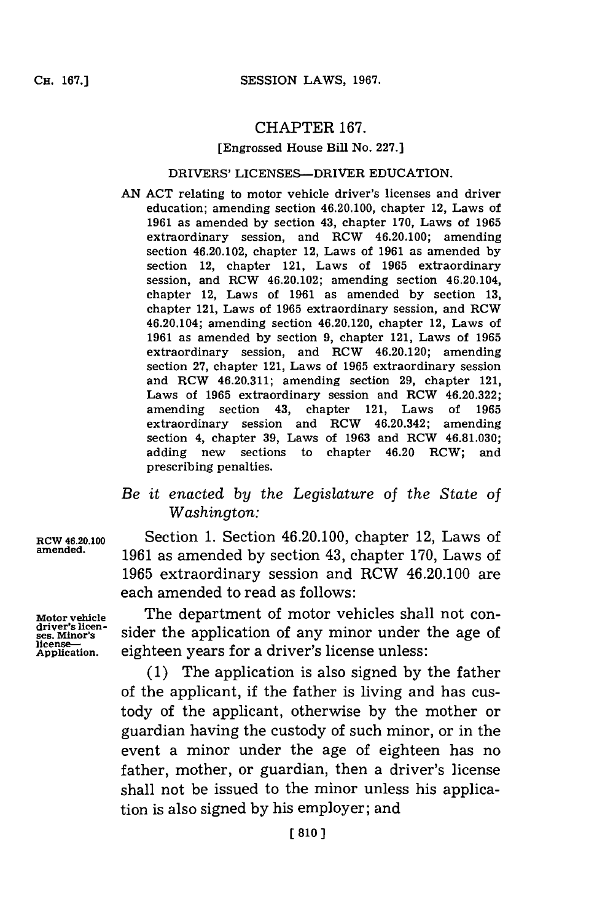## CHAPTER **167.**

#### [Engrossed House Bill No. **227.]**

### DRIVERS' LICENSES-DRIVER **EDUCATION.**

**AN ACT** relating to motor vehicle driver's licenses and driver education; amending section 46.20.100, chapter 12, Laws of **1961** as amended **by** section 43, chapter **170,** Laws of **1965** extraordinary session, and RCW 46.20.100; amending section 46.20.102, chapter 12, Laws of **1961** as amended **by** section 12, chapter 121, Laws of **1965** extraordinary session, and RCW 46.20.102; amending section 46.20.104, chapter 12, Laws of **1961** as amended **by** section **13,** chapter 121, Laws of **1965** extraordinary session, and ROW 46.20.104; amending section 46.20.120, chapter 12, Laws of **1961** as amended **by** section **9,** chapter 121, Laws of **1965** extraordinary session, and RCw 46.20.120; amending section **27,** chapter 121, Laws of **1965** extraordinary session and ROW 46.20.311; amending section **29,** chapter 121, Laws of **1965** extraordinary session and RCW 46.20.322; amending section 43, chapter 121, Laws of **1965** extraordinary session and RCW 46.20.342; amending section 4, chapter **39,** Laws of **1963** and ROW **46.81.030;** adding new sections to chapter 46.20 RCW; and prescribing penalties.

# *Be it enacted by the Legislature of the State of Washington:*

**RCW 46.20.100** Section **1.** Section 46.20.100, chapter 12, Laws of **amended. 1961** as amended **by** section 43, chapter **170,** Laws of **1965** extraordinary session and RCW 46.20.100 are each amended to read as follows:

> The department of motor vehicles shall not consider the application of any minor under the age of eighteen years for a driver's license unless:

> **(1)** The application is also signed **by** the father of the applicant, if the father is living and has custody of the applicant, otherwise **by** the mother or guardian having the custody of such minor, or in the event a minor under the age of eighteen has no father, mother, or guardian, then a driver's license shall not be issued to the minor unless his application is also signed **by** his employer; and

**Motor vehicle driver's licen- ses. Mdinor's license-Application.**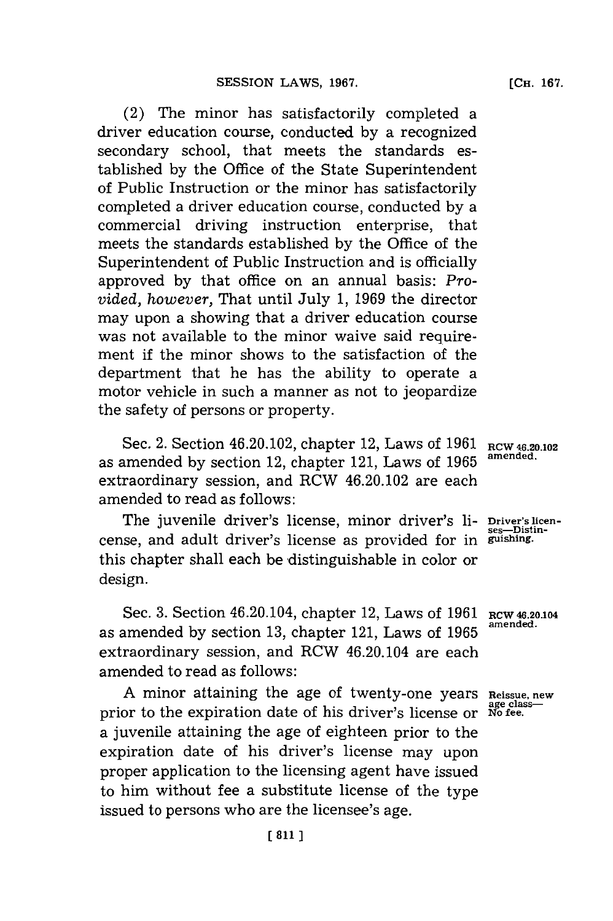(2) The minor has satisfactorily completed a driver education course, conducted **by** a recognized secondary school, that meets the standards established **by** the Office of the State Superintendent of Public Instruction or the minor has satisfactorily completed a driver education course, conducted **by** a commercial driving instruction enterprise, that meets the standards established **by** the Office of the Superintendent of Public Instruction and is officially approved **by** that office on an annual basis: *Provided, however,* That until July **1, 1969** the director may upon a showing that a driver education course was not available to the minor waive said requirement if the minor shows to the satisfaction of the department that he has the ability to operate a motor vehicle in such a manner as not to jeopardize the safety of persons or property.

Sec. 2. Section 46.20.102, chapter 12, Laws of 1961 RCW 46.20.102 as amended by section 12, chapter 121, Laws of 1965 extraordinary session, and RCW 46.20.102 are each amended to read as follows:

The juvenile driver's license, minor driver's li- Driver's licen-<br>see, and adult driver's license as provided for in guishing. cense, and adult driver's license as provided for in this chapter shall each be distinguishable in color or design.

Sec. **3.** Section 46.20.104, chapter 12, Laws of **1961** as amended **by** section **13,** chapter 121, Laws of **1965** extraordinary session, and RCW 46.20.104 are each amended to read as follows:

A minor attaining the age of twenty-one years Reissue, new<br>or to the expiration date of his driver's license or No fee. prior to the expiration date of his driver's license or a juvenile attaining the age of eighteen prior to the expiration date of his driver's license may upon proper application to the licensing agent have issued to him without fee a substitute license of the type issued to persons who are the licensee's age.

**RCW 46.20.104 amended.**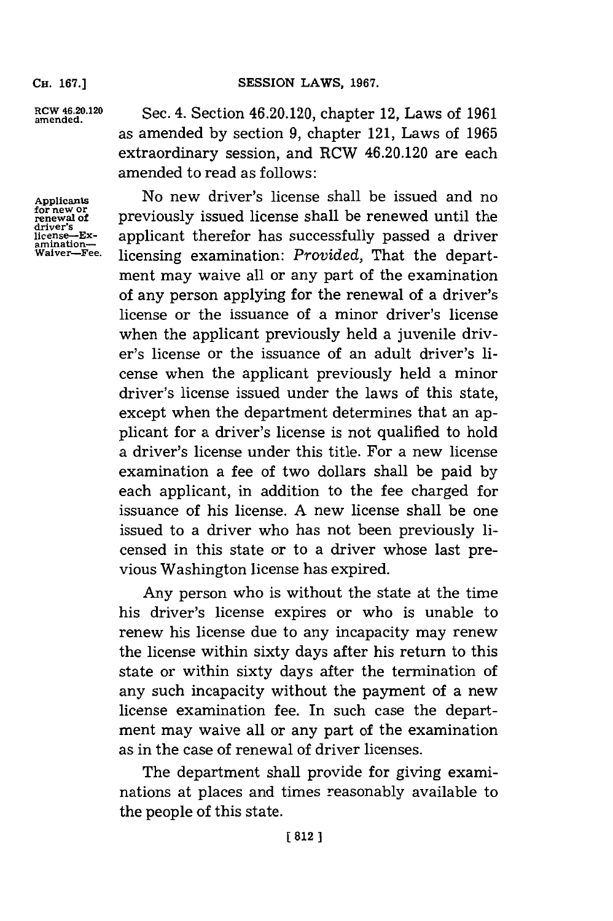**CH. 167.]**

amende.0.2 Sec. 4. Section 46.20.120, chapter 12, Laws of **1961** as amended **by** section **9,** chapter 121, Laws of **1965** extraordinary session, and RCW 46.20.120 are each amended to read as follows:

driver's<br>driver's<br>license—Ex-<br>amination—<br>Waiver—Fee.

Applicants **No new driver's license shall be issued and no**<br>for new or **previously** issued license shall be renewed until the **for new or renewal of** previously issued license shall be renewed until the applicant therefor has successfully passed a driver licensing examination: *Provided*, That the department may waive all or any part of the examination of any person applying for the renewal of a driver's license or the issuance of a minor driver's license when the applicant previously held a juvenile driver's license or the issuance of an adult driver's license when the applicant previously held a minor driver's license issued under the laws of this state, except when the department determines that an applicant for a driver's license is not qualified to hold a driver's license under this title. For a new license examination a fee of two dollars shall be paid **by** each applicant, in addition to the fee charged for issuance of his license. **A** new license shall be one issued to a driver who has not been previously licensed in this state or to a driver whose last previous Washington license has expired.

> Any person who is without the state at the time his driver's license expires or who is unable to renew his license due to any incapacity may renew the license within sixty days after his return to this state or within sixty days after the termination of any such incapacity without the payment of a new license examination fee. In such case the department may waive all or any part of the examination as in the case of renewal of driver licenses.

> The department shall provide for giving examinations at places and times reasonably available to the people of this state.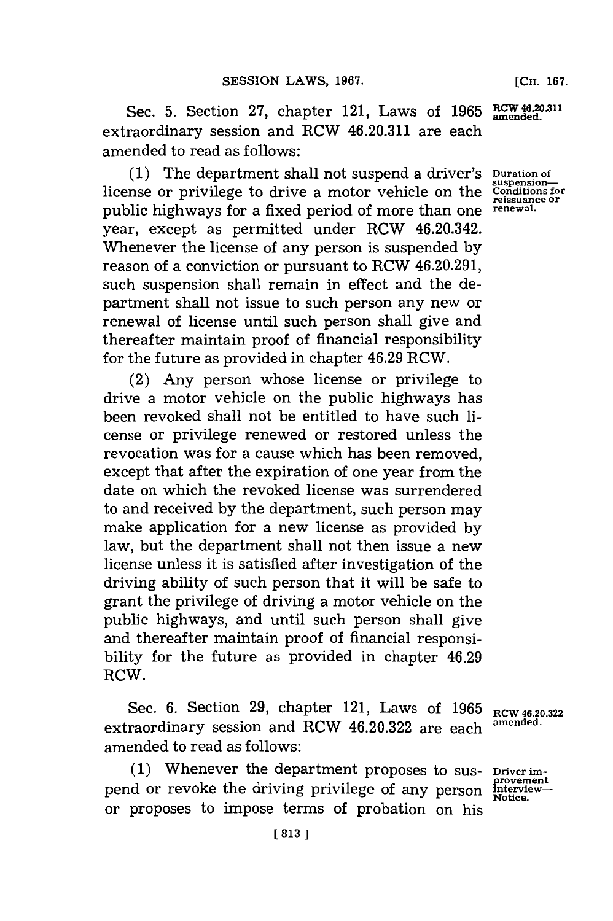Sec. **5.** Section **27,** chapter 121, Laws of **1965** extraordinary session and RCW 46.20.311 are each amended to read as follows:

**(1)** The department shall not suspend a driver's **Duration of** license or privilege to drive a motor vehicle on the public highways for a fixed period of more than one year, except as permitted under RCW 46.20.342. Whenever the license of any person is suspended **by** reason of a conviction or pursuant to RCW 46.20.291, such suspension shall remain in effect and the department shall not issue to such person any new or renewal of license until such person shall give and thereafter maintain proof of financial responsibility for the future as provided in chapter 46.29 RCW.

(2) Any person whose license or privilege to drive a motor vehicle on the public highways has been revoked shall not be entitled to have such license or privilege renewed or restored unless the revocation was for a cause which has been removed, except that after the expiration of one year from the date on which the revoked license was surrendered to and received **by** the department, such person may make application for a new license as provided **by** law, but the department shall not then issue a new license unless it is satisfied after investigation of the driving ability of such person that it will be safe to grant the privilege of driving a motor vehicle on the public highways, and until such person shall give and thereafter maintain proof of financial responsibility for the future as provided in chapter 46.29 RCW.

Sec. **6.** Section **29,** chapter 121, Laws of **1965** extraordinary session and RCW 46.20.322 are each amended to read as follows:

**(1)** Whenever the department proposes to suspend or revoke the driving privilege of any person or proposes to impose terms of probation on his

**RCW 46.20.322 amended.**

**Driver improvement interview-Notice.**

**RCW 46.20.311 amended.**

**suspension-Conditions for reissuance or renewal.**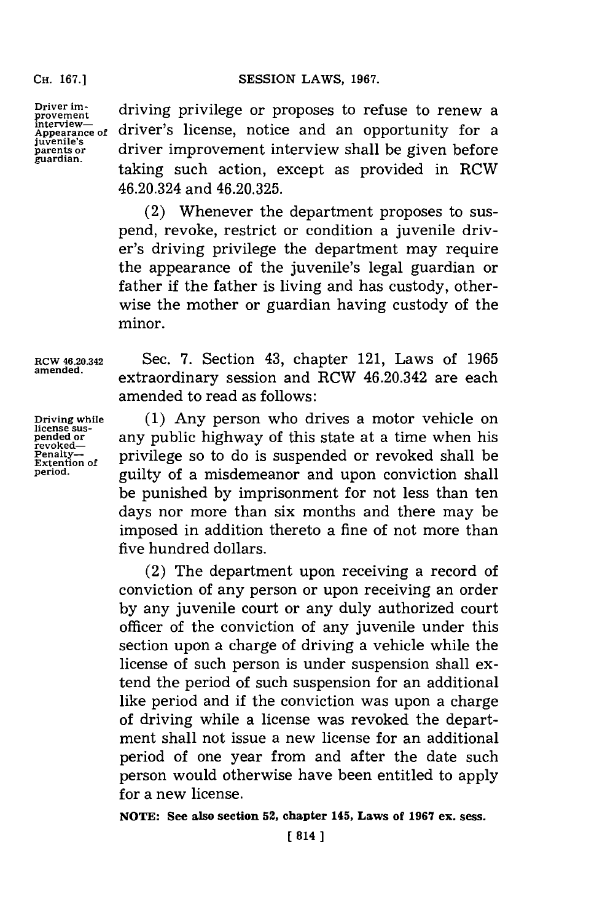#### Cii. **67.]SESSION** LAWS, **1967.**

**CH. 167.]**

**Driver improvement interview-Appea1rance of juvenile's paens or guardian.**

driving privilege or proposes to refuse to renew a driver's license, notice and an opportunity for a driver improvement interview shall be given before taking such action, except as provided in RCW 46.20.324 and **46.20.325.**

(2) Whenever the department proposes to suspend, revoke, restrict or condition a juvenile driver's driving privilege the department may require the appearance of the juvenile's legal guardian or father if the father is living and has custody, otherwise the mother or guardian having custody of the minor.

license sus-<br>pended or

ROW **46.20.342** Sec. **7.** Section 43, chapter 121, Laws of **1965** extraordinary session and RCW  $46.20.342$  are each amended to read as follows:

**Driving while (1)** Any person who drives a motor vehicle on ncense sustainable or **any public highway of this state at a time when his** revoked— Penalty--<br>Extention of **privilege** so to do is suspended or revoked shall be **period,** guilty of a misdemeanor and upon conviction shall be punished **by** imprisonment for not less than ten days nor more than six months and there may be imposed in addition thereto a fine of not more than five hundred dollars.

> (2) The department upon receiving a record of conviction of any person or upon receiving an order **by** any juvenile court or any duly authorized court officer of the conviction of any juvenile under this section upon a charge of driving a vehicle while the license of such person is under suspension shall extend the period of such suspension for an additional like period and if the conviction was upon a charge of driving while a license was revoked the department shall not issue a new license for an additional period of one year from and after the date such person would otherwise have been entitled to apply for a new license.

**NOTE: See also section 52, chapter 145, Laws of 1967 ex. sess.**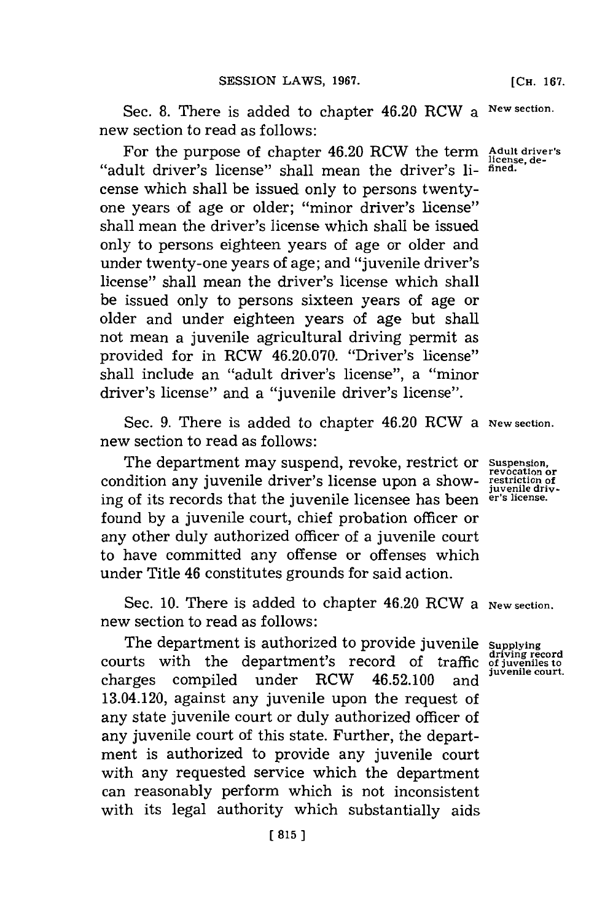Sec. 8. There is added to chapter 46.20 RCW a New section. new section to read as follows:

For the purpose of chapter 46.20 RCW the term Adult driver's "adult driver's license" shall mean the driver's 1i- **fined.** cense which shall be issued only to persons twentyone years of age or older; "minor driver's license" shall mean the driver's license which shall be issued only to persons eighteen years of age or older and under twenty-one years of age; and "juvenile driver's license" shall mean the driver's license which shall be issued only to persons sixteen years of age or older and under eighteen years of age but shall not mean a juvenile agricultural driving permit as provided for in RCW 46.20.070. "Driver's license" shall include an "adult driver's license", a "minor driver's license" and a "juvenile driver's license"

Sec. **9.** There is added to chapter 46.20 RCW a **New section.** new section to read as follows:

The department may suspend, revoke, restrict or **Suspension,** condition any juvenile driver's license upon a showing of its records that the juvenile licensee has been **er's license.** found **by** a juvenile court, chief probation officer or any other duly authorized officer of a juvenile court to have committed any offense or offenses which under Title 46 constitutes grounds for said action.

Sec. 10. There is added to chapter 46.20 RCW a New section. new section to read as follows:

The department is authorized to provide juvenile **Supplying** courts with the department's record of traffic of juveniles to charges compiled under RCW 46.52.100 and 13.04.120, against any juvenile upon the request of any state juvenile court or duly authorized officer of any juvenile court of this state. Further, the department is authorized to provide any juvenile court with any requested service which the department can reasonably perform which is not inconsistent with its legal authority which substantially aids

**revocation or** restriction of<br>juvenile driv-

**driving record**